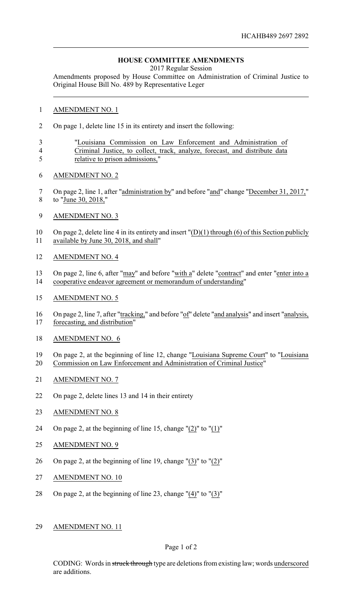## **HOUSE COMMITTEE AMENDMENTS**

2017 Regular Session

Amendments proposed by House Committee on Administration of Criminal Justice to Original House Bill No. 489 by Representative Leger

## AMENDMENT NO. 1

- On page 1, delete line 15 in its entirety and insert the following:
- "Louisiana Commission on Law Enforcement and Administration of Criminal Justice, to collect, track, analyze, forecast, and distribute data
- relative to prison admissions,"
- AMENDMENT NO. 2
- On page 2, line 1, after "administration by" and before "and" change "December 31, 2017," to "June 30, 2018,"
- AMENDMENT NO. 3

 On page 2, delete line 4 in its entirety and insert "(D)(1) through (6) of this Section publicly available by June 30, 2018, and shall"

- AMENDMENT NO. 4
- On page 2, line 6, after "may" and before "with a" delete "contract" and enter "enter into a cooperative endeavor agreement or memorandum of understanding"
- AMENDMENT NO. 5
- On page 2, line 7, after "tracking," and before "of" delete "and analysis" and insert "analysis, forecasting, and distribution"
- AMENDMENT NO. 6
- On page 2, at the beginning of line 12, change "Louisiana Supreme Court" to "Louisiana Commission on Law Enforcement and Administration of Criminal Justice"
- AMENDMENT NO. 7
- On page 2, delete lines 13 and 14 in their entirety
- AMENDMENT NO. 8
- On page 2, at the beginning of line 15, change "(2)" to "(1)"
- 25 AMENDMENT NO. 9
- On page 2, at the beginning of line 19, change "(3)" to "(2)"
- AMENDMENT NO. 10
- 28 On page 2, at the beginning of line 23, change  $"(\underline{4})"$  to  $"(\underline{3})"$
- AMENDMENT NO. 11

## Page 1 of 2

CODING: Words in struck through type are deletions from existing law; words underscored are additions.